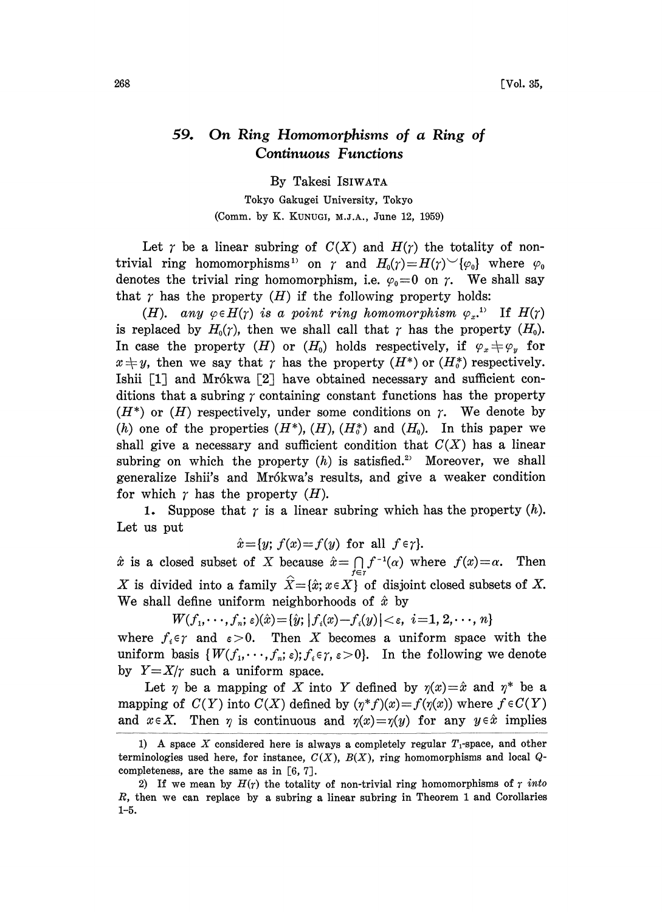## 59. On Ring Homomorphisms of a Ring of Continuous Functions

By Takesi ISIWATA

Tokyo Gakugei University, Tokyo (Comm. by K. KUNUGI, M.J.A., June 12, 1959)

Let  $\gamma$  be a linear subring of  $C(X)$  and  $H(\gamma)$  the totality of nontrivial ring homomorphisms<sup>1</sup> on  $\gamma$  and  $H_0(\gamma) = H(\gamma)^{\sim} {\{\varphi_0\}}$  where  $\varphi_0$ denotes the trivial ring homomorphism, i.e.  $\varphi_0=0$  on  $\gamma$ . We shall say that  $\gamma$  has the property (H) if the following property holds:

(H). any  $\varphi \in H(\gamma)$  is a point ring homomorphism  $\varphi_{x}$ .<sup>1)</sup> If  $H(\gamma)$ is replaced by  $H_0(\gamma)$ , then we shall call that  $\gamma$  has the property  $(H_0)$ . is replaced by  $H_0(\gamma)$ , then we shall call that  $\gamma$  has the property  $(H_0)$ .<br>In case the property  $(H)$  or  $(H_0)$  holds respectively, if  $\varphi_x \neq \varphi_y$  for  $x \neq y$ , then we say that  $\gamma$  has the property  $(H^*)$  or  $(H_0^*)$  respectively.  $x \neq y$ , then we say that  $\gamma$  has the property  $(H^*)$  or  $(H_0^*)$  respectively.<br>Ishii [1] and Mrókwa [2] have obtained necessary and sufficient conditions that a subring  $\gamma$  containing constant functions has the property Ishii  $\lceil 1 \rceil$  and Mr6kwa  $\lceil 2 \rceil$  have obtained necessary and sufficient con- $(H^*)$  or  $(H)$  respectively, under some conditions on  $\gamma$ . We denote by (h) one of the properties  $(H^*), (H), (H_0^*)$  and  $(H_0)$ . In this paper we shall give a necessary and sufficient condition that  $C(X)$  has a linear subring on which the property  $(h)$  is satisfied.<sup>2</sup> Moreover, we shall generalize Ishii's and Mrókwa's results, and give a weaker condition for which  $\gamma$  has the property  $(H)$ .

1. Suppose that  $\gamma$  is a linear subring which has the property  $(h)$ . Let us put

 $\hat{x} = \{y; f(x) = f(y) \text{ for all } f \in \gamma\}.$ 

 $\hat{x}$  is a closed subset of X because  $\hat{x} = \bigcap_{f \in r} f^{-1}(a)$  where  $f(x) = \alpha$ . Then X is divided into a family  $\hat{X} = \{\hat{x}; x \in X\}$  of disjoint closed subsets of X. We shall define uniform neighborhoods of  $\hat{x}$  by

 $W(f_1, \dots, f_n; \varepsilon)(\hat{x}) = {\hat{y}; |f_i(x) - f_i(y)| < \varepsilon, i = 1, 2, \dots, n}$ 

where  $f_i \in \gamma$  and  $\varepsilon > 0$ . Then X becomes a uniform space with the uniform basis  $\{W(f_1,\dots,f_n;\varepsilon); f_i\in\gamma,\varepsilon>0\}$ . In the following we denote by  $Y=X/r$  such a uniform space.

Let  $\eta$  be a mapping of X into Y defined by  $\eta(x) = \hat{x}$  and  $\eta^*$  be a ping of  $C(Y)$  into  $C(X)$  defined by  $(n^* f)(x) = f(\eta(x))$  where  $f \in C(Y)$ mapping of  $C(Y)$  into  $C(X)$  defined by  $(\eta^*f)(x)=f(\eta(x))$  where  $f \in C(Y)$ and  $x \in X$ . Then  $\eta$  is continuous and  $\eta(x)=\eta(y)$  for any  $y \in \hat{x}$  implies

<sup>1)</sup> A space X considered here is always a completely regular  $T_1$ -space, and other terminologies used here, for instance,  $C(X)$ ,  $B(X)$ , ring homomorphisms and local  $Q$ completeness, are the same as in [6, 7J.

<sup>2)</sup> If we mean by  $H(r)$  the totality of non-trivial ring homomorphisms of  $r$  into R, then we can replace by a subring a linear subring in Theorem <sup>I</sup> and Corollaries 1-5.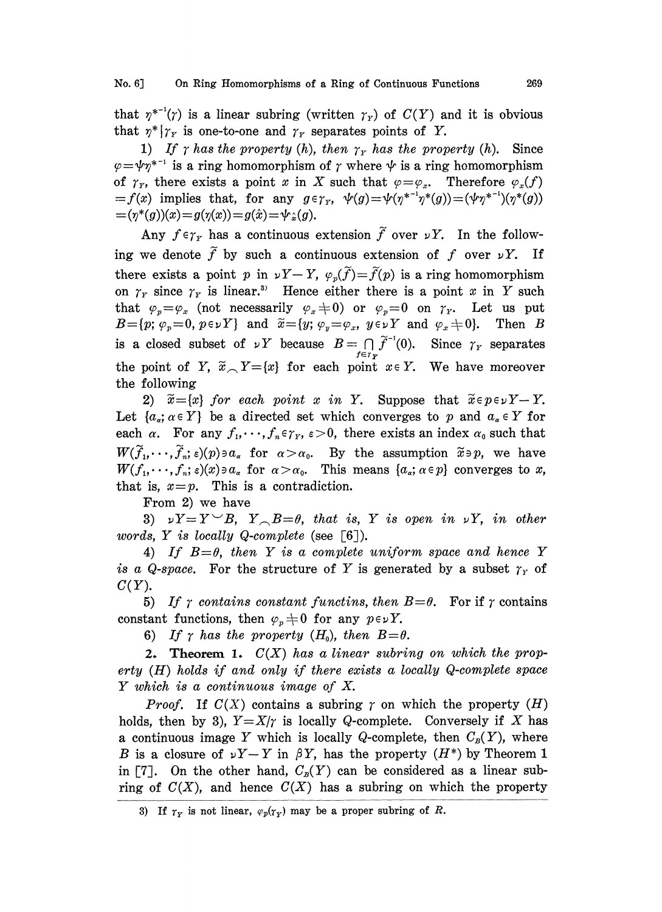that  $\eta^{*-1}(\gamma)$  is a linear subring (written  $\gamma_r$ ) of  $C(Y)$  and it is obvious that  $\eta^* | \gamma_r$  is one-to-one and  $\gamma_r$  separates points of Y.

1) If  $\gamma$  has the property (h), then  $\gamma_Y$  has the property (h). Since  $\varphi = \psi \gamma^{*-1}$  is a ring homomorphism of  $\gamma$  where  $\psi$  is a ring homomorphism of  $\gamma_r$ , there exists a point x in X such that  $\varphi = \varphi_x$ . Therefore  $\varphi_x(f)$  $=f(x)$  implies that, for any  $g \in \gamma_{Y}$ ,  $\psi(g)=\psi(\eta^{*-1}\eta^{*}(g))=(\psi\eta^{*-1})(\eta^{*}(g))$  $=(\gamma^*(g))(x)=g(\gamma(x))=g(\hat{x})=\psi_{\hat{x}}(g).$ 

Any  $f \in \gamma_Y$  has a continuous extension  $\tilde{f}$  over  $\nu Y$ . In the following we denote  $\tilde{f}$  by such a continuous extension of f over  $\nu Y$ . If there exists a point p in  $\nu Y-Y$ ,  $\varphi_n(\widetilde{f})=\widetilde{f}(p)$  is a ring homomorphism on  $\gamma_r$  since  $\gamma_r$  is linear.<sup>3</sup> Hence either there is a point x in Y such that  $\varphi_p = \varphi_x$  (not necessarily  $\varphi_x \neq 0$ ) or  $\varphi_p = 0$  on  $\gamma_y$ . Let us put  $B=[p; \varphi_p=0, p\in \nu Y]$  and  $\widetilde{x}=[y; \varphi_y=\varphi_x, y\in \nu Y$  and  $\varphi_x\neq 0$ . Then B is a closed subset of  $\nu Y$  because  $B = \bigcap_{f \in r_X} \widetilde{f}^{-1}(0)$ . Since  $\gamma_Y$  separates<br>the point of  $Y = \widetilde{g} - Y = [g]$  for each point  $g \in Y - W$  beyond property. the point of Y,  $\widetilde{x}_{\sim}$  Y = {x} for each point  $x \in Y$ . We have moreover the following

2)  $\tilde{x} = \{x\}$  for each point x in Y. Suppose that  $\tilde{x} \in p \in \mathcal{Y} - Y$ . Let  $\{a_{\alpha}; \alpha \in Y\}$  be a directed set which converges to p and  $a_{\alpha} \in Y$  for each  $\alpha$ . For any  $f_1, \dots, f_n \in \gamma_Y$ ,  $\varepsilon > 0$ , there exists an index  $\alpha_0$  such that  $W(\widetilde{f}_1,\dots,\widetilde{f}_n;\varepsilon)(p)\ni a_{\alpha}$  for  $\alpha>\alpha_0$ . By the assumption  $\widetilde{x}\ni p$ , we have  $W(f_1,\dots,f_n;\varepsilon)(x)\ni a_{\alpha}$  for  $\alpha>\alpha_0$ . This means  $\{a_{\alpha}; \alpha\in\mathcal{P}\}\)$  converges to x, that is,  $x=p$ . This is a contradiction.

From 2) we have

3)  $\nu Y = Y^{\vee} B$ ,  $Y \circ B = \theta$ , that is, Y is open in  $\nu Y$ , in other words, Y is locally Q-complete (see  $\lceil 6 \rceil$ ).

4) If  $B=\theta$ , then Y is a complete uniform space and hence Y is a Q-space. For the structure of Y is generated by a subset  $\gamma_Y$  of  $C(Y)$ .

5) If  $\gamma$  contains constant functins, then  $B=\theta$ . For if  $\gamma$  contains constant functions, then  $\varphi_p \neq 0$  for any  $p \in \nu Y$ .

6) If  $\gamma$  has the property  $(H_0)$ , then  $B=\theta$ .

**2.** Theorem 1.  $C(X)$  has a linear subring on which the property  $(H)$  holds if and only if there exists a locally Q-complete space Y which is <sup>a</sup> continuous image of X.

*Proof.* If  $C(X)$  contains a subring  $\gamma$  on which the property  $(H)$ holds, then by 3),  $Y = X/\gamma$  is locally Q-complete. Conversely if X has a continuous image Y which is locally Q-complete, then  $C_p(Y)$ , where B is a closure of  $\nu Y-Y$  in  $\beta Y$ , has the property  $(H^*)$  by Theorem 1 in [7]. On the other hand,  $C_R(Y)$  can be considered as a linear subring of  $C(X)$ , and hence  $C(X)$  has a subring on which the property

<sup>3)</sup> If  $r_Y$  is not linear,  $\varphi_p(r_Y)$  may be a proper subring of R.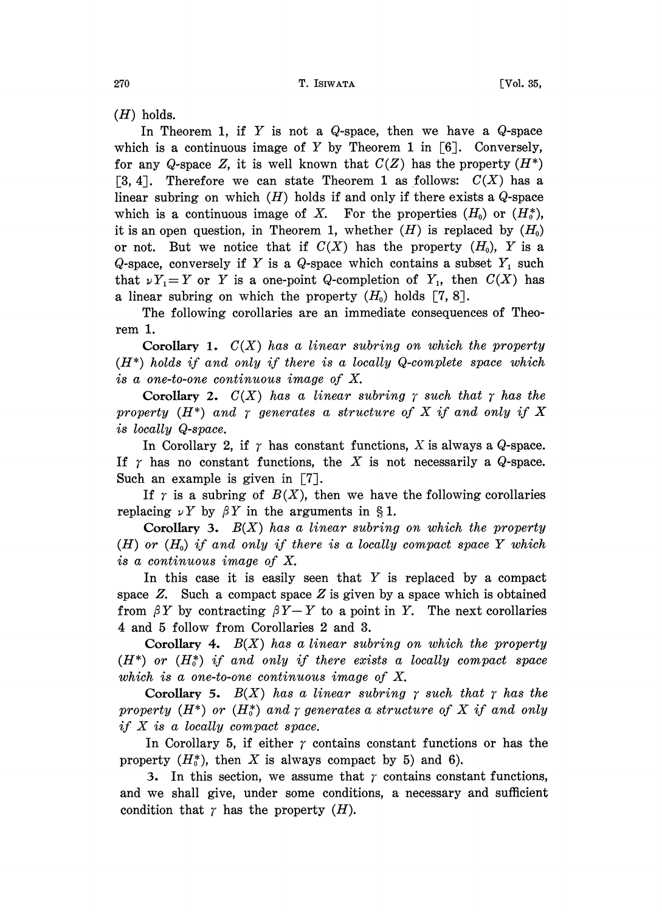$(H)$  holds.

In Theorem 1, if Y is not a Q-space, then we have a Q-space which is a continuous image of Y by Theorem 1 in  $[6]$ . Conversely, for any Q-space Z, it is well known that  $C(Z)$  has the property  $(H^*)$ [3, 4]. Therefore we can state Theorem 1 as follows:  $C(X)$  has a linear subring on which  $(H)$  holds if and only if there exists a  $Q$ -space which is a continuous image of X. For the properties  $(H_0)$  or  $(H_0^*),$ it is an open question, in Theorem 1, whether  $(H)$  is replaced by  $(H_0)$ or not. But we notice that if  $C(X)$  has the property  $(H_0)$ , Y is a Q-space, conversely if Y is a Q-space which contains a subset  $Y_1$  such that  $\nu Y_1 = Y$  or Y is a one-point Q-completion of Y<sub>1</sub>, then  $C(X)$  has a linear subring on which the property  $(H_0)$  holds [7, 8].

The following corollaries are an immediate consequences of Theorem 1.

Corollary 1.  $C(X)$  has a linear subring on which the property  $(H^*)$  holds if and only if there is a locally Q-complete space which is a one-to-one continuous image of X.

Corollary 2.  $C(X)$  has a linear subring  $\gamma$  such that  $\gamma$  has the property  $(H^*)$  and  $\gamma$  generates a structure of X if and only if X is locally Q-space.

In Corollary 2, if  $\gamma$  has constant functions, X is always a Q-space. If  $\gamma$  has no constant functions, the X is not necessarily a Q-space. Such an example is given in [7].

If  $\gamma$  is a subring of  $B(X)$ , then we have the following corollaries replacing  $\nu Y$  by  $\beta Y$  in the arguments in §1.

Corollary 3.  $B(X)$  has a linear subring on which the property  $(H)$  or  $(H_0)$  if and only if there is a locally compact space Y which is a continuous image of X.

In this case it is easily seen that  $Y$  is replaced by a compact space  $Z$ . Such a compact space  $Z$  is given by a space which is obtained from  $\beta Y$  by contracting  $\beta Y-Y$  to a point in Y. The next corollaries 4 and 5 follow from Corollaries 2 and 3.

Corollary 4.  $B(X)$  has a linear subring on which the property  $(H^*)$  or  $(H_0^*)$  if and only if there exists a locally compact space which is a one-to-one continuous image of X.

Corollary 5.  $B(X)$  has a linear subring  $\gamma$  such that  $\gamma$  has the property  $(H^*)$  or  $(H^*)$  and  $\gamma$  generates a structure of X if and only if  $X$  is a locally compact space.

In Corollary 5, if either  $\gamma$  contains constant functions or has the property  $(H_0^*)$ , then X is always compact by 5) and 6).

3. In this section, we assume that  $\gamma$  contains constant functions, and we shall give, under some conditions, a necessary and sufficient condition that  $\gamma$  has the property  $(H)$ .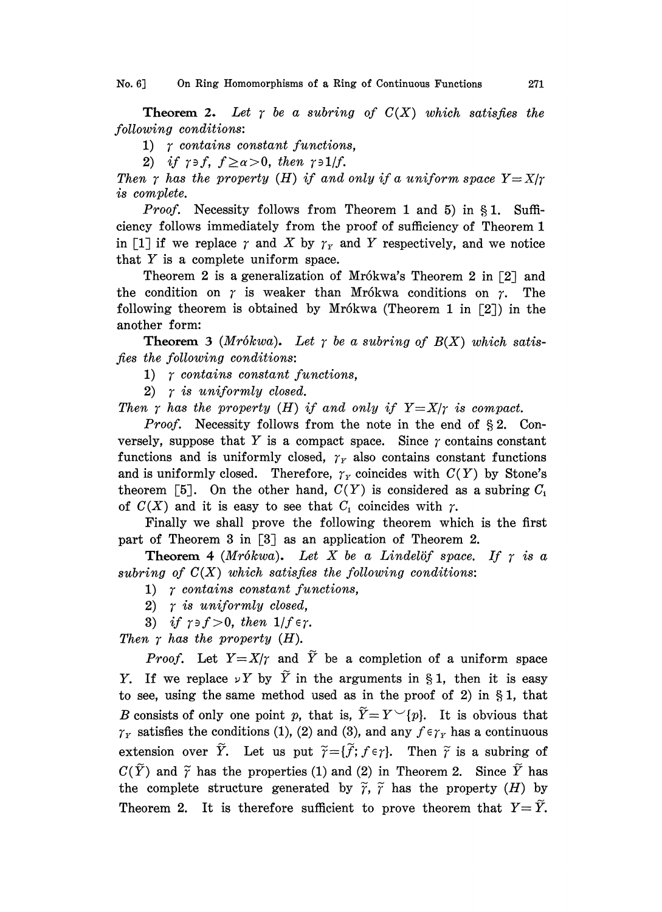No. 6] On Ring Homomorphisms of a Ring of Continuous Functions 271

**Theorem 2.** Let  $\gamma$  be a subring of  $C(X)$  which satisfies the following conditions:

1)  $\tau$  contains constant functions,

2) if  $\gamma \ni f$ ,  $f \ge \alpha > 0$ , then  $\gamma \ni 1/f$ .

Then  $\gamma$  has the property (H) if and only if a uniform space  $Y=X/\gamma$ is complete.

*Proof.* Necessity follows from Theorem 1 and 5) in  $\S 1$ . Sufficiency follows immediately from the proof of sufficiency of Theorem 1 in [1] if we replace  $\gamma$  and  $X$  by  $\gamma_Y$  and  $Y$  respectively, and we notice that  $Y$  is a complete uniform space.

Theorem 2 is a generalization of Mrókwa's Theorem 2 in  $\lceil 2 \rceil$  and the condition on  $\gamma$  is weaker than Mrókwa conditions on  $\gamma$ . The following theorem is obtained by Mrókwa (Theorem 1 in  $\lceil 2 \rceil$ ) in the another form:

**Theorem 3** (Mrókwa). Let  $\gamma$  be a subring of  $B(X)$  which satisfies the following conditions:

1)  $\gamma$  contains constant functions,

2)  $\gamma$  is uniformly closed.

Then  $\gamma$  has the property (H) if and only if  $Y=X/\gamma$  is compact.

*Proof.* Necessity follows from the note in the end of  $\S 2$ . Conversely, suppose that Y is a compact space. Since  $\gamma$  contains constant functions and is uniformly closed,  $\gamma_r$  also contains constant functions and is uniformly closed. Therefore,  $\gamma_Y$  coincides with  $C(Y)$  by Stone's theorem [5]. On the other hand,  $C(Y)$  is considered as a subring  $C_1$ of  $C(X)$  and it is easy to see that  $C_1$  coincides with  $\gamma$ .

Finally we shall prove the following theorem which is the first part of Theorem 3 in [3] as an application of Theorem 2.

**Theorem 4** (Mrókwa). Let X be a Lindelöf space. If  $r$  is a subring of  $C(X)$  which satisfies the following conditions:

1)  $\gamma$  contains constant functions,

2)  $\gamma$  is uniformly closed,

3) if  $\gamma \ni f > 0$ , then  $1/f \in \gamma$ .

Then  $\gamma$  has the property (H).

*Proof.* Let  $Y = X/\gamma$  and  $\tilde{Y}$  be a completion of a uniform space Y. If we replace  $\nu Y$  by  $\tilde{Y}$  in the arguments in §1, then it is easy to see, using the same method used as in the proof of 2) in  $\S 1$ , that B consists of only one point p, that is,  $\widetilde{Y}=Y^{\smile}\{p\}$ . It is obvious that  $\gamma_Y$  satisfies the conditions (1), (2) and (3), and any  $f \in \gamma_Y$  has a continuous extension over  $\tilde{Y}$ . Let us put  $\tilde{\gamma} = {\tilde{f}}; f \in \gamma$ . Then  $\tilde{\gamma}$  is a subring of  $C(\widetilde{Y})$  and  $\widetilde{\gamma}$  has the properties (1) and (2) in Theorem 2. Since  $\widetilde{Y}$  has the complete structure generated by  $\widetilde{r}$ ,  $\widetilde{r}$  has the property (H) by Theorem 2. It is therefore sufficient to prove theorem that  $Y=\tilde{Y}$ .